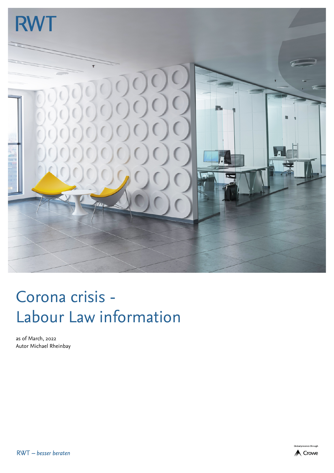

## Corona crisis - Labour Law information

as of March, 2022 Autor Michael Rheinbay



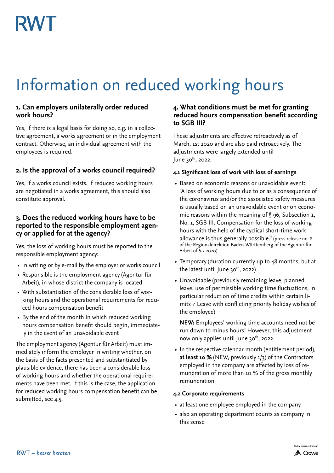## Information on reduced working hours

#### **1. Can employers unilaterally order reduced work hours?**

Yes, if there is a legal basis for doing so, e.g. in a collective agreement, a works agreement or in the employment contract. Otherwise, an individual agreement with the employees is required.

#### **2. Is the approval of a works council required?**

Yes, if a works council exists. If reduced working hours are negotiated in a works agreement, this should also constitute approval.

#### **3. Does the reduced working hours have to be reported to the responsible employment agency or applied for at the agency?**

Yes, the loss of working hours must be reported to the responsible employment agency:

- In writing or by e-mail by the employer or works council
- Responsible is the employment agency (Agentur für Arbeit), in whose district the company is located
- With substantiation of the considerable loss of working hours and the operational requirements for reduced hours compensation benefit
- By the end of the month in which reduced working hours compensation benefit should begin, immediately in the event of an unavoidable event

The employment agency (Agentur für Arbeit) must immediately inform the employer in writing whether, on the basis of the facts presented and substantiated by plausible evidence, there has been a considerable loss of working hours and whether the operational requirements have been met. If this is the case, the application for reduced working hours compensation benefit can be submitted, see 4.5.

#### **4. What conditions must be met for granting reduced hours compensation benefit according to SGB III?**

These adjustments are effective retroactively as of March, 1st 2020 and are also paid retroactively. The adjustments were largely extended until June  $30<sup>th</sup>$ , 2022.

#### **4.1 Significant loss of work with loss of earnings**

- Based on economic reasons or unavoidable event: "A loss of working hours due to or as a consequence of the coronavirus and/or the associated safety measures is usually based on an unavoidable event or on economic reasons within the meaning of § 96, Subsection 1, No. 1, SGB III. Compensation for the loss of working hours with the help of the cyclical short-time work allowance is thus generally possible." (press release no. 8 of the Regionaldirektion Baden-Württemberg of the Agentur für Arbeit of 6.2.2020)
- Temporary (duration currently up to 48 months, but at the latest until June  $30^{th}$ , 2022)
- Unavoidable (previously remaining leave, planned leave, use of permissible working time fluctuations, in particular reduction of time credits within certain limits ≠ Leave with conflicting priority holiday wishes of the employee)

**NEW:** Employees' working time accounts need not be run down to minus hours! However, this adjustment now only applies until June  $30<sup>th</sup>$ , 2022.

• In the respective calendar month (entitlement period), **at least 10 %** (NEW, previously 1/3) of the Contractors employed in the company are affected by loss of remuneration of more than 10 % of the gross monthly remuneration

#### **4.2 Corporate requirements**

- at least one employee employed in the company
- also an operating department counts as company in this sense